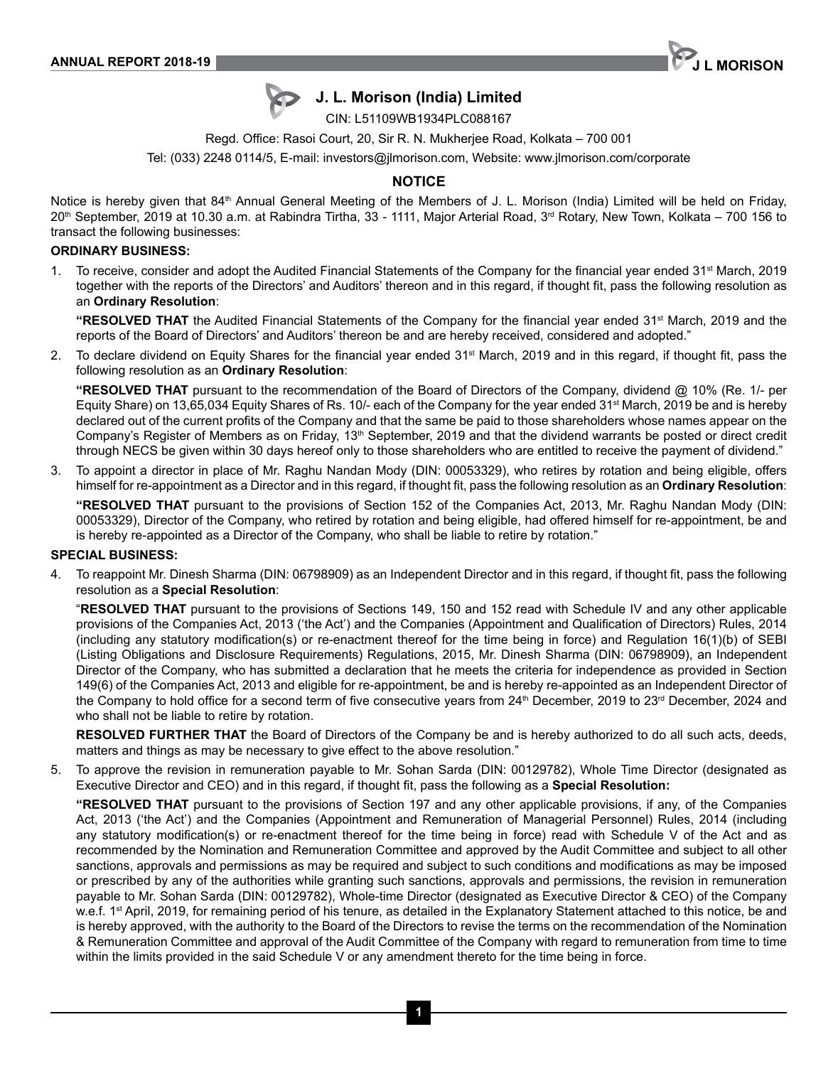

# **J. L. Morison (India) Limited**

CIN: L51109WB1934PLC088167

Regd. Office: Rasoi Court, 20, Sir R. N. Mukherjee Road, Kolkata – 700 001

Tel: (033) 2248 0114/5, E-mail: investors@jlmorison.com, Website: www.jlmorison.com/corporate

## **NOTICE**

Notice is hereby given that 84<sup>th</sup> Annual General Meeting of the Members of J. L. Morison (India) Limited will be held on Friday,  $20<sup>th</sup>$  September, 2019 at 10.30 a.m. at Rabindra Tirtha, 33 - 1111, Major Arterial Road, 3<sup>rd</sup> Rotary, New Town, Kolkata – 700 156 to transact the following businesses:

#### **ORDINARY BUSINESS:**

1. To receive, consider and adopt the Audited Financial Statements of the Company for the financial year ended 31<sup>st</sup> March, 2019 together with the reports of the Directors' and Auditors' thereon and in this regard, if thought fit, pass the following resolution as an **Ordinary Resolution**:

**"RESOLVED THAT** the Audited Financial Statements of the Company for the financial year ended 31st March, 2019 and the reports of the Board of Directors' and Auditors' thereon be and are hereby received, considered and adopted."

2. To declare dividend on Equity Shares for the financial year ended 31<sup>st</sup> March, 2019 and in this regard, if thought fit, pass the following resolution as an **Ordinary Resolution**:

**"RESOLVED THAT** pursuant to the recommendation of the Board of Directors of the Company, dividend @ 10% (Re. 1/- per Equity Share) on 13,65,034 Equity Shares of Rs. 10/- each of the Company for the year ended 31<sup>st</sup> March, 2019 be and is hereby declared out of the current profits of the Company and that the same be paid to those shareholders whose names appear on the Company's Register of Members as on Friday, 13<sup>th</sup> September, 2019 and that the dividend warrants be posted or direct credit through NECS be given within 30 days hereof only to those shareholders who are entitled to receive the payment of dividend."

3. To appoint a director in place of Mr. Raghu Nandan Mody (DIN: 00053329), who retires by rotation and being eligible, offers himself for re-appointment as a Director and in this regard, if thought fit, pass the following resolution as an **Ordinary Resolution**:

**"RESOLVED THAT** pursuant to the provisions of Section 152 of the Companies Act, 2013, Mr. Raghu Nandan Mody (DIN: 00053329), Director of the Company, who retired by rotation and being eligible, had offered himself for re-appointment, be and is hereby re-appointed as a Director of the Company, who shall be liable to retire by rotation."

#### **SPECIAL BUSINESS:**

4. To reappoint Mr. Dinesh Sharma (DIN: 06798909) as an Independent Director and in this regard, if thought fit, pass the following resolution as a **Special Resolution**:

"**RESOLVED THAT** pursuant to the provisions of Sections 149, 150 and 152 read with Schedule IV and any other applicable provisions of the Companies Act, 2013 ('the Act') and the Companies (Appointment and Qualification of Directors) Rules, 2014 (including any statutory modification(s) or re-enactment thereof for the time being in force) and Regulation 16(1)(b) of SEBI (Listing Obligations and Disclosure Requirements) Regulations, 2015, Mr. Dinesh Sharma (DIN: 06798909), an Independent Director of the Company, who has submitted a declaration that he meets the criteria for independence as provided in Section 149(6) of the Companies Act, 2013 and eligible for re-appointment, be and is hereby re-appointed as an Independent Director of the Company to hold office for a second term of five consecutive years from 24<sup>th</sup> December, 2019 to 23<sup>rd</sup> December, 2024 and who shall not be liable to retire by rotation.

**RESOLVED FURTHER THAT** the Board of Directors of the Company be and is hereby authorized to do all such acts, deeds, matters and things as may be necessary to give effect to the above resolution."

5. To approve the revision in remuneration payable to Mr. Sohan Sarda (DIN: 00129782), Whole Time Director (designated as Executive Director and CEO) and in this regard, if thought fit, pass the following as a **Special Resolution:**

**"RESOLVED THAT** pursuant to the provisions of Section 197 and any other applicable provisions, if any, of the Companies Act, 2013 ('the Act') and the Companies (Appointment and Remuneration of Managerial Personnel) Rules, 2014 (including any statutory modification(s) or re-enactment thereof for the time being in force) read with Schedule V of the Act and as recommended by the Nomination and Remuneration Committee and approved by the Audit Committee and subject to all other sanctions, approvals and permissions as may be required and subject to such conditions and modifications as may be imposed or prescribed by any of the authorities while granting such sanctions, approvals and permissions, the revision in remuneration payable to Mr. Sohan Sarda (DIN: 00129782), Whole-time Director (designated as Executive Director & CEO) of the Company w.e.f. 1<sup>st</sup> April, 2019, for remaining period of his tenure, as detailed in the Explanatory Statement attached to this notice, be and is hereby approved, with the authority to the Board of the Directors to revise the terms on the recommendation of the Nomination & Remuneration Committee and approval of the Audit Committee of the Company with regard to remuneration from time to time within the limits provided in the said Schedule V or any amendment thereto for the time being in force.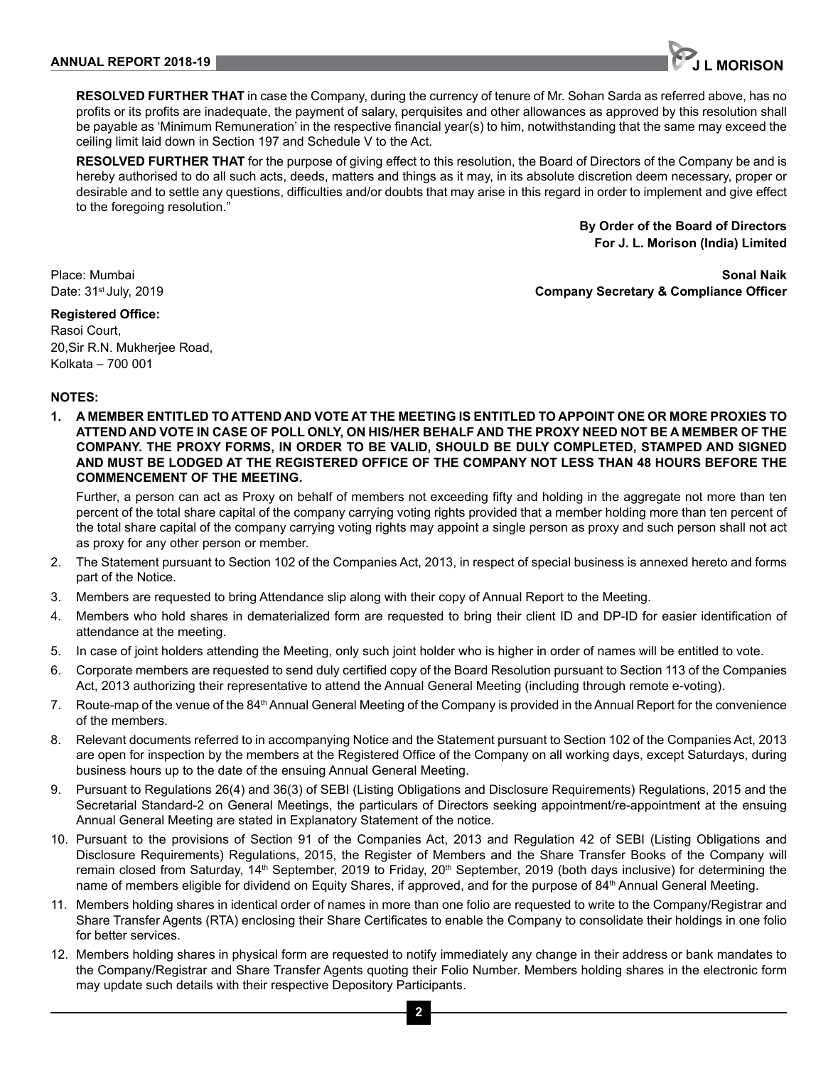

**RESOLVED FURTHER THAT** in case the Company, during the currency of tenure of Mr. Sohan Sarda as referred above, has no profits or its profits are inadequate, the payment of salary, perquisites and other allowances as approved by this resolution shall be payable as 'Minimum Remuneration' in the respective financial year(s) to him, notwithstanding that the same may exceed the ceiling limit laid down in Section 197 and Schedule V to the Act.

**RESOLVED FURTHER THAT** for the purpose of giving effect to this resolution, the Board of Directors of the Company be and is hereby authorised to do all such acts, deeds, matters and things as it may, in its absolute discretion deem necessary, proper or desirable and to settle any questions, difficulties and/or doubts that may arise in this regard in order to implement and give effect to the foregoing resolution."

> **By Order of the Board of Directors For J. L. Morison (India) Limited**

## Place: Mumbai **Sonal Naik** Date: 31st July, 2019 **Company Secretary & Compliance Officer**

## **Registered Office:**

Rasoi Court, 20,Sir R.N. Mukherjee Road, Kolkata – 700 001

## **NOTES:**

**1. A MEMBER ENTITLED TO ATTEND AND VOTE AT THE MEETING IS ENTITLED TO APPOINT ONE OR MORE PROXIES TO ATTEND AND VOTE IN CASE OF POLL ONLY, ON HIS/HER BEHALF AND THE PROXY NEED NOT BE A MEMBER OF THE COMPANY. THE PROXY FORMS, IN ORDER TO BE VALID, SHOULD BE DULY COMPLETED, STAMPED AND SIGNED AND MUST BE LODGED AT THE REGISTERED OFFICE OF THE COMPANY NOT LESS THAN 48 HOURS BEFORE THE COMMENCEMENT OF THE MEETING.**

Further, a person can act as Proxy on behalf of members not exceeding fifty and holding in the aggregate not more than ten percent of the total share capital of the company carrying voting rights provided that a member holding more than ten percent of the total share capital of the company carrying voting rights may appoint a single person as proxy and such person shall not act as proxy for any other person or member.

- 2. The Statement pursuant to Section 102 of the Companies Act, 2013, in respect of special business is annexed hereto and forms part of the Notice.
- 3. Members are requested to bring Attendance slip along with their copy of Annual Report to the Meeting.
- 4. Members who hold shares in dematerialized form are requested to bring their client ID and DP-ID for easier identification of attendance at the meeting.
- 5. In case of joint holders attending the Meeting, only such joint holder who is higher in order of names will be entitled to vote.
- 6. Corporate members are requested to send duly certified copy of the Board Resolution pursuant to Section 113 of the Companies Act, 2013 authorizing their representative to attend the Annual General Meeting (including through remote e-voting).
- 7. Route-map of the venue of the 84th Annual General Meeting of the Company is provided in the Annual Report for the convenience of the members.
- 8. Relevant documents referred to in accompanying Notice and the Statement pursuant to Section 102 of the Companies Act, 2013 are open for inspection by the members at the Registered Office of the Company on all working days, except Saturdays, during business hours up to the date of the ensuing Annual General Meeting.
- 9. Pursuant to Regulations 26(4) and 36(3) of SEBI (Listing Obligations and Disclosure Requirements) Regulations, 2015 and the Secretarial Standard-2 on General Meetings, the particulars of Directors seeking appointment/re-appointment at the ensuing Annual General Meeting are stated in Explanatory Statement of the notice.
- 10. Pursuant to the provisions of Section 91 of the Companies Act, 2013 and Regulation 42 of SEBI (Listing Obligations and Disclosure Requirements) Regulations, 2015, the Register of Members and the Share Transfer Books of the Company will remain closed from Saturday, 14<sup>th</sup> September, 2019 to Friday, 20<sup>th</sup> September, 2019 (both days inclusive) for determining the name of members eligible for dividend on Equity Shares, if approved, and for the purpose of 84<sup>th</sup> Annual General Meeting.
- 11. Members holding shares in identical order of names in more than one folio are requested to write to the Company/Registrar and Share Transfer Agents (RTA) enclosing their Share Certificates to enable the Company to consolidate their holdings in one folio for better services.
- 12. Members holding shares in physical form are requested to notify immediately any change in their address or bank mandates to the Company/Registrar and Share Transfer Agents quoting their Folio Number. Members holding shares in the electronic form may update such details with their respective Depository Participants.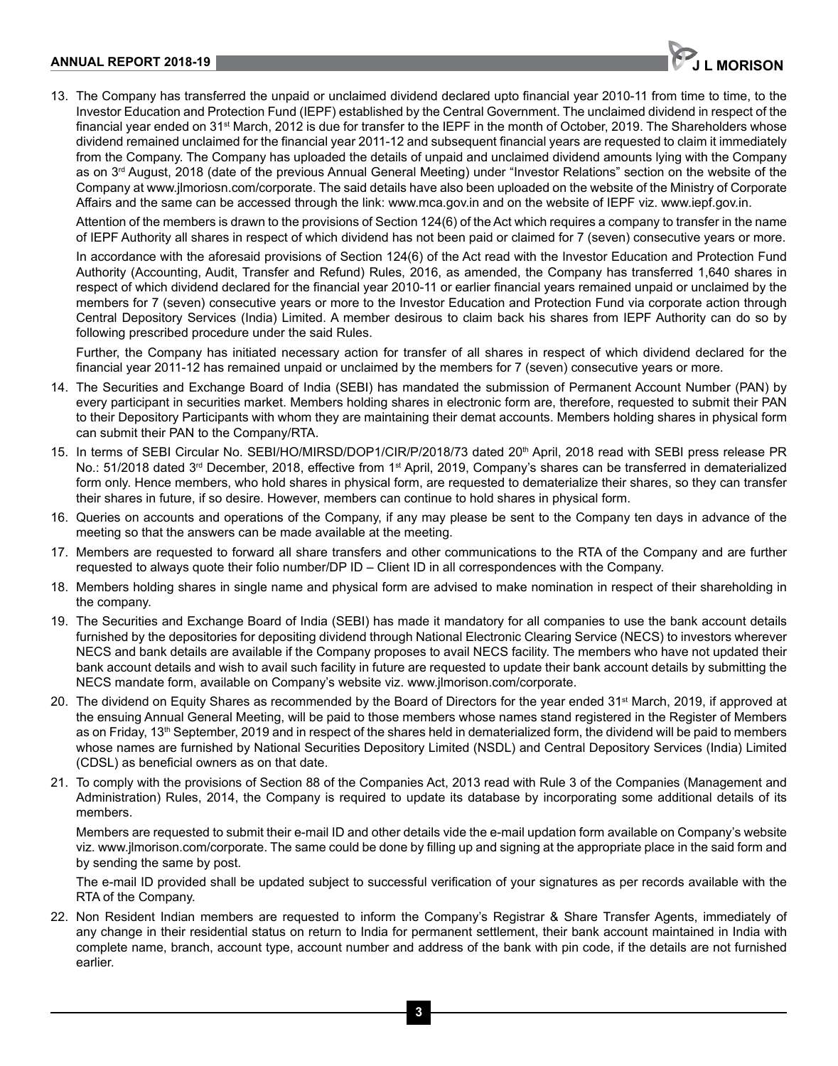

13. The Company has transferred the unpaid or unclaimed dividend declared upto financial year 2010-11 from time to time, to the Investor Education and Protection Fund (IEPF) established by the Central Government. The unclaimed dividend in respect of the financial year ended on 31st March, 2012 is due for transfer to the IEPF in the month of October, 2019. The Shareholders whose dividend remained unclaimed for the financial year 2011-12 and subsequent financial years are requested to claim it immediately from the Company. The Company has uploaded the details of unpaid and unclaimed dividend amounts lying with the Company as on 3rd August, 2018 (date of the previous Annual General Meeting) under "Investor Relations" section on the website of the Company at www.jlmoriosn.com/corporate. The said details have also been uploaded on the website of the Ministry of Corporate Affairs and the same can be accessed through the link: www.mca.gov.in and on the website of IEPF viz. www.iepf.gov.in.

Attention of the members is drawn to the provisions of Section 124(6) of the Act which requires a company to transfer in the name of IEPF Authority all shares in respect of which dividend has not been paid or claimed for 7 (seven) consecutive years or more.

In accordance with the aforesaid provisions of Section 124(6) of the Act read with the Investor Education and Protection Fund Authority (Accounting, Audit, Transfer and Refund) Rules, 2016, as amended, the Company has transferred 1,640 shares in respect of which dividend declared for the financial year 2010-11 or earlier financial years remained unpaid or unclaimed by the members for 7 (seven) consecutive years or more to the Investor Education and Protection Fund via corporate action through Central Depository Services (India) Limited. A member desirous to claim back his shares from IEPF Authority can do so by following prescribed procedure under the said Rules.

Further, the Company has initiated necessary action for transfer of all shares in respect of which dividend declared for the financial year 2011-12 has remained unpaid or unclaimed by the members for 7 (seven) consecutive years or more.

- 14. The Securities and Exchange Board of India (SEBI) has mandated the submission of Permanent Account Number (PAN) by every participant in securities market. Members holding shares in electronic form are, therefore, requested to submit their PAN to their Depository Participants with whom they are maintaining their demat accounts. Members holding shares in physical form can submit their PAN to the Company/RTA.
- 15. In terms of SEBI Circular No. SEBI/HO/MIRSD/DOP1/CIR/P/2018/73 dated 20<sup>th</sup> April, 2018 read with SEBI press release PR No.: 51/2018 dated 3<sup>rd</sup> December, 2018, effective from 1<sup>st</sup> April, 2019, Company's shares can be transferred in dematerialized form only. Hence members, who hold shares in physical form, are requested to dematerialize their shares, so they can transfer their shares in future, if so desire. However, members can continue to hold shares in physical form.
- 16. Queries on accounts and operations of the Company, if any may please be sent to the Company ten days in advance of the meeting so that the answers can be made available at the meeting.
- 17. Members are requested to forward all share transfers and other communications to the RTA of the Company and are further requested to always quote their folio number/DP ID – Client ID in all correspondences with the Company.
- 18. Members holding shares in single name and physical form are advised to make nomination in respect of their shareholding in the company.
- 19. The Securities and Exchange Board of India (SEBI) has made it mandatory for all companies to use the bank account details furnished by the depositories for depositing dividend through National Electronic Clearing Service (NECS) to investors wherever NECS and bank details are available if the Company proposes to avail NECS facility. The members who have not updated their bank account details and wish to avail such facility in future are requested to update their bank account details by submitting the NECS mandate form, available on Company's website viz. www.jlmorison.com/corporate.
- 20. The dividend on Equity Shares as recommended by the Board of Directors for the year ended 31<sup>st</sup> March, 2019, if approved at the ensuing Annual General Meeting, will be paid to those members whose names stand registered in the Register of Members as on Friday, 13<sup>th</sup> September, 2019 and in respect of the shares held in dematerialized form, the dividend will be paid to members whose names are furnished by National Securities Depository Limited (NSDL) and Central Depository Services (India) Limited (CDSL) as beneficial owners as on that date.
- 21. To comply with the provisions of Section 88 of the Companies Act, 2013 read with Rule 3 of the Companies (Management and Administration) Rules, 2014, the Company is required to update its database by incorporating some additional details of its members.

Members are requested to submit their e-mail ID and other details vide the e-mail updation form available on Company's website viz. www.jlmorison.com/corporate. The same could be done by filling up and signing at the appropriate place in the said form and by sending the same by post.

The e-mail ID provided shall be updated subject to successful verification of your signatures as per records available with the RTA of the Company.

22. Non Resident Indian members are requested to inform the Company's Registrar & Share Transfer Agents, immediately of any change in their residential status on return to India for permanent settlement, their bank account maintained in India with complete name, branch, account type, account number and address of the bank with pin code, if the details are not furnished earlier.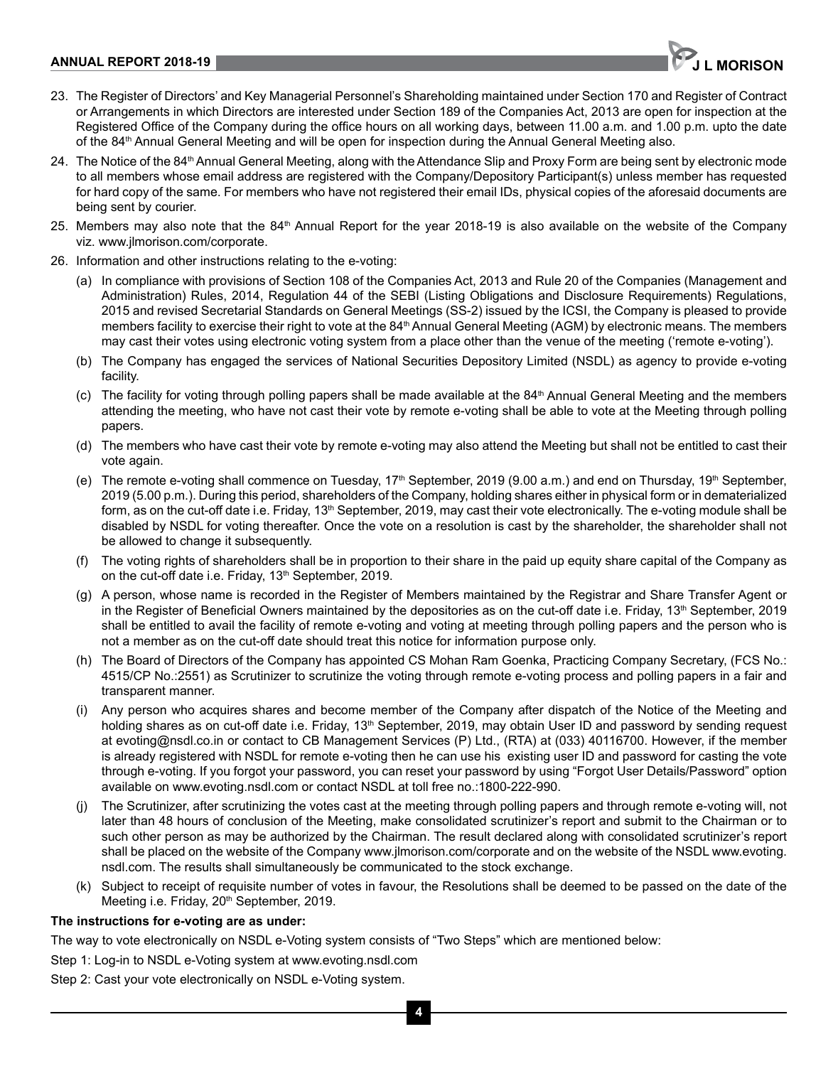#### **ANNUAL REPORT 2018-19 JULIE 2018-19 JULIE 2018-19 10: 10: 10: 10: 10: 10: 10: 10: 10: 11: 10: 11: 10: 11: 10: 11: 10: 11: 10: 11: 10: 11: 10: 11: 10: 11: 10: 11: 10: 11: 10: 11: 10: 11: 10: 11: 10: 11: 10: 11: 10: 11:**



- 23. The Register of Directors' and Key Managerial Personnel's Shareholding maintained under Section 170 and Register of Contract or Arrangements in which Directors are interested under Section 189 of the Companies Act, 2013 are open for inspection at the Registered Office of the Company during the office hours on all working days, between 11.00 a.m. and 1.00 p.m. upto the date of the 84<sup>th</sup> Annual General Meeting and will be open for inspection during the Annual General Meeting also.
- 24. The Notice of the 84<sup>th</sup> Annual General Meeting, along with the Attendance Slip and Proxy Form are being sent by electronic mode to all members whose email address are registered with the Company/Depository Participant(s) unless member has requested for hard copy of the same. For members who have not registered their email IDs, physical copies of the aforesaid documents are being sent by courier.
- 25. Members may also note that the 84<sup>th</sup> Annual Report for the year 2018-19 is also available on the website of the Company viz. www.jlmorison.com/corporate.
- 26. Information and other instructions relating to the e-voting:
	- (a) In compliance with provisions of Section 108 of the Companies Act, 2013 and Rule 20 of the Companies (Management and Administration) Rules, 2014, Regulation 44 of the SEBI (Listing Obligations and Disclosure Requirements) Regulations, 2015 and revised Secretarial Standards on General Meetings (SS-2) issued by the ICSI, the Company is pleased to provide members facility to exercise their right to vote at the 84<sup>th</sup> Annual General Meeting (AGM) by electronic means. The members may cast their votes using electronic voting system from a place other than the venue of the meeting ('remote e-voting').
	- (b) The Company has engaged the services of National Securities Depository Limited (NSDL) as agency to provide e-voting facility.
	- (c) The facility for voting through polling papers shall be made available at the 84th Annual General Meeting and the members attending the meeting, who have not cast their vote by remote e-voting shall be able to vote at the Meeting through polling papers.
	- (d) The members who have cast their vote by remote e-voting may also attend the Meeting but shall not be entitled to cast their vote again.
	- (e) The remote e-voting shall commence on Tuesday,  $17<sup>th</sup>$  September, 2019 (9.00 a.m.) and end on Thursday,  $19<sup>th</sup>$  September, 2019 (5.00 p.m.). During this period, shareholders of the Company, holding shares either in physical form or in dematerialized form, as on the cut-off date i.e. Friday, 13<sup>th</sup> September, 2019, may cast their vote electronically. The e-voting module shall be disabled by NSDL for voting thereafter. Once the vote on a resolution is cast by the shareholder, the shareholder shall not be allowed to change it subsequently.
	- (f) The voting rights of shareholders shall be in proportion to their share in the paid up equity share capital of the Company as on the cut-off date i.e. Friday, 13<sup>th</sup> September, 2019.
	- (g) A person, whose name is recorded in the Register of Members maintained by the Registrar and Share Transfer Agent or in the Register of Beneficial Owners maintained by the depositories as on the cut-off date i.e. Friday,  $13<sup>th</sup>$  September, 2019 shall be entitled to avail the facility of remote e-voting and voting at meeting through polling papers and the person who is not a member as on the cut-off date should treat this notice for information purpose only.
	- (h) The Board of Directors of the Company has appointed CS Mohan Ram Goenka, Practicing Company Secretary, (FCS No.: 4515/CP No.:2551) as Scrutinizer to scrutinize the voting through remote e-voting process and polling papers in a fair and transparent manner.
	- (i) Any person who acquires shares and become member of the Company after dispatch of the Notice of the Meeting and holding shares as on cut-off date i.e. Friday, 13<sup>th</sup> September, 2019, may obtain User ID and password by sending request at evoting@nsdl.co.in or contact to CB Management Services (P) Ltd., (RTA) at (033) 40116700. However, if the member is already registered with NSDL for remote e-voting then he can use his existing user ID and password for casting the vote through e-voting. If you forgot your password, you can reset your password by using "Forgot User Details/Password" option available on www.evoting.nsdl.com or contact NSDL at toll free no.:1800-222-990.
	- The Scrutinizer, after scrutinizing the votes cast at the meeting through polling papers and through remote e-voting will, not later than 48 hours of conclusion of the Meeting, make consolidated scrutinizer's report and submit to the Chairman or to such other person as may be authorized by the Chairman. The result declared along with consolidated scrutinizer's report shall be placed on the website of the Company www.jlmorison.com/corporate and on the website of the NSDL www.evoting. nsdl.com. The results shall simultaneously be communicated to the stock exchange.
	- (k) Subject to receipt of requisite number of votes in favour, the Resolutions shall be deemed to be passed on the date of the Meeting i.e. Friday, 20<sup>th</sup> September, 2019.

#### **The instructions for e-voting are as under:**

The way to vote electronically on NSDL e-Voting system consists of "Two Steps" which are mentioned below:

Step 1: Log-in to NSDL e-Voting system at www.evoting.nsdl.com

Step 2: Cast your vote electronically on NSDL e-Voting system.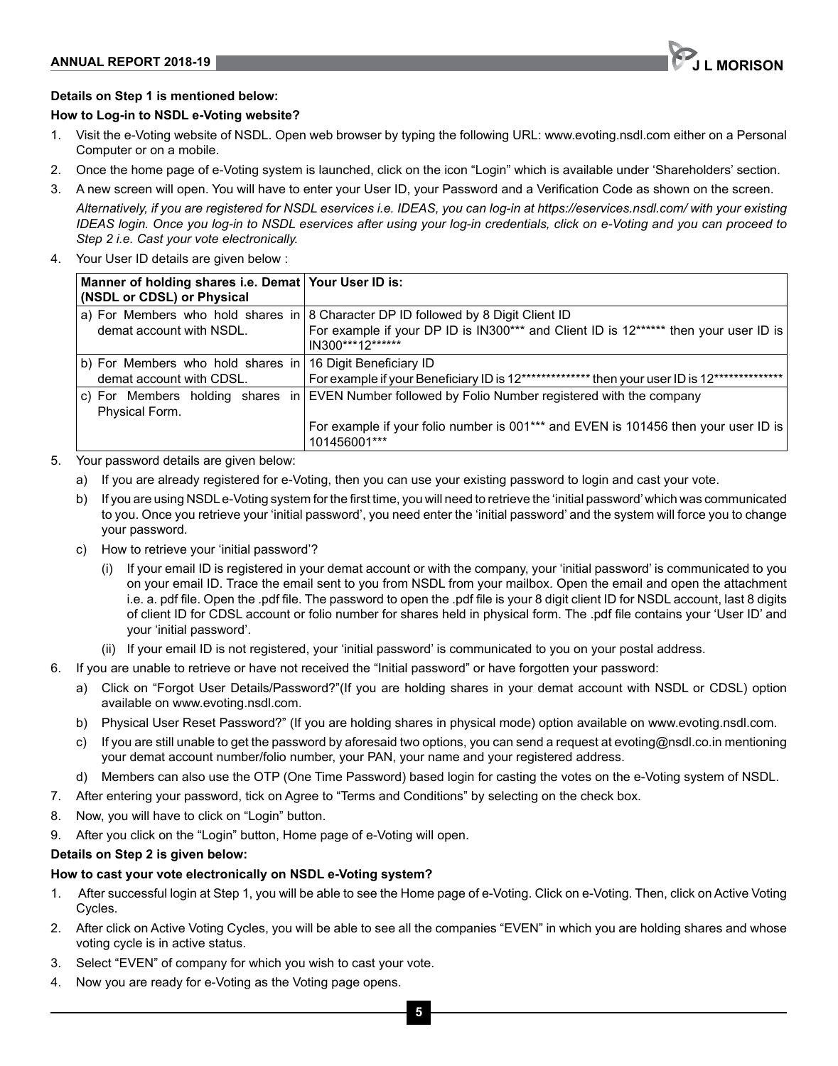

## **Details on Step 1 is mentioned below:**

#### **How to Log-in to NSDL e-Voting website?**

- 1. Visit the e-Voting website of NSDL. Open web browser by typing the following URL: www.evoting.nsdl.com either on a Personal Computer or on a mobile.
- 2. Once the home page of e-Voting system is launched, click on the icon "Login" which is available under 'Shareholders' section.
- 3. A new screen will open. You will have to enter your User ID, your Password and a Verification Code as shown on the screen.

*Alternatively, if you are registered for NSDL eservices i.e. IDEAS, you can log-in at https://eservices.nsdl.com/ with your existing IDEAS login. Once you log-in to NSDL eservices after using your log-in credentials, click on e-Voting and you can proceed to Step 2 i.e. Cast your vote electronically.*

4. Your User ID details are given below :

| Manner of holding shares i.e. Demat Your User ID is:<br>(NSDL or CDSL) or Physical    |                                                                                                                                                                                               |
|---------------------------------------------------------------------------------------|-----------------------------------------------------------------------------------------------------------------------------------------------------------------------------------------------|
| demat account with NSDL.                                                              | a) For Members who hold shares in 8 Character DP ID followed by 8 Digit Client ID<br>For example if your DP ID is IN300*** and Client ID is 12****** then your user ID is<br>IN300***12****** |
| b) For Members who hold shares in 16 Digit Beneficiary ID<br>demat account with CDSL. | For example if your Beneficiary ID is 12************** then your user ID is 12***************                                                                                                 |
| Physical Form.                                                                        | c) For Members holding shares in EVEN Number followed by Folio Number registered with the company                                                                                             |
|                                                                                       | For example if your folio number is 001 <sup>***</sup> and EVEN is 101456 then your user ID is<br>101456001***                                                                                |

- 5. Your password details are given below:
	- a) If you are already registered for e-Voting, then you can use your existing password to login and cast your vote.
	- b) If you are using NSDL e-Voting system for the first time, you will need to retrieve the 'initial password' which was communicated to you. Once you retrieve your 'initial password', you need enter the 'initial password' and the system will force you to change your password.
	- c) How to retrieve your 'initial password'?
		- (i) If your email ID is registered in your demat account or with the company, your 'initial password' is communicated to you on your email ID. Trace the email sent to you from NSDL from your mailbox. Open the email and open the attachment i.e. a. pdf file. Open the .pdf file. The password to open the .pdf file is your 8 digit client ID for NSDL account, last 8 digits of client ID for CDSL account or folio number for shares held in physical form. The .pdf file contains your 'User ID' and your 'initial password'.
		- (ii) If your email ID is not registered, your 'initial password' is communicated to you on your postal address.
- 6. If you are unable to retrieve or have not received the "Initial password" or have forgotten your password:
	- a) Click on "Forgot User Details/Password?"(If you are holding shares in your demat account with NSDL or CDSL) option available on www.evoting.nsdl.com.
	- b) Physical User Reset Password?" (If you are holding shares in physical mode) option available on www.evoting.nsdl.com.
	- c) If you are still unable to get the password by aforesaid two options, you can send a request at evoting@nsdl.co.in mentioning your demat account number/folio number, your PAN, your name and your registered address.
	- d) Members can also use the OTP (One Time Password) based login for casting the votes on the e-Voting system of NSDL.
- 7. After entering your password, tick on Agree to "Terms and Conditions" by selecting on the check box.
- 8. Now, you will have to click on "Login" button.
- 9. After you click on the "Login" button, Home page of e-Voting will open.

## **Details on Step 2 is given below:**

## **How to cast your vote electronically on NSDL e-Voting system?**

- 1. After successful login at Step 1, you will be able to see the Home page of e-Voting. Click on e-Voting. Then, click on Active Voting Cycles.
- 2. After click on Active Voting Cycles, you will be able to see all the companies "EVEN" in which you are holding shares and whose voting cycle is in active status.
- 3. Select "EVEN" of company for which you wish to cast your vote.
- 4. Now you are ready for e-Voting as the Voting page opens.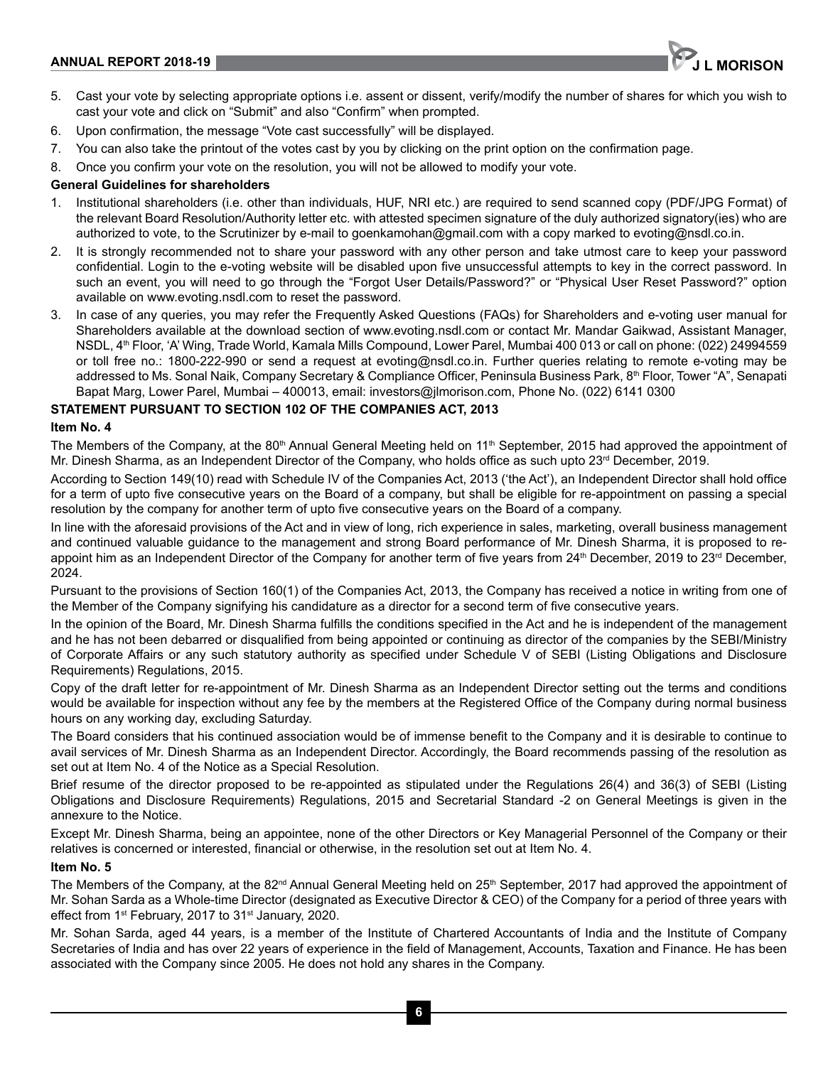

- 5. Cast your vote by selecting appropriate options i.e. assent or dissent, verify/modify the number of shares for which you wish to cast your vote and click on "Submit" and also "Confirm" when prompted.
- 6. Upon confirmation, the message "Vote cast successfully" will be displayed.
- 7. You can also take the printout of the votes cast by you by clicking on the print option on the confirmation page.
- 8. Once you confirm your vote on the resolution, you will not be allowed to modify your vote.

## **General Guidelines for shareholders**

- 1. Institutional shareholders (i.e. other than individuals, HUF, NRI etc.) are required to send scanned copy (PDF/JPG Format) of the relevant Board Resolution/Authority letter etc. with attested specimen signature of the duly authorized signatory(ies) who are authorized to vote, to the Scrutinizer by e-mail to goenkamohan@gmail.com with a copy marked to evoting@nsdl.co.in.
- 2. It is strongly recommended not to share your password with any other person and take utmost care to keep your password confidential. Login to the e-voting website will be disabled upon five unsuccessful attempts to key in the correct password. In such an event, you will need to go through the "Forgot User Details/Password?" or "Physical User Reset Password?" option available on www.evoting.nsdl.com to reset the password.
- 3. In case of any queries, you may refer the Frequently Asked Questions (FAQs) for Shareholders and e-voting user manual for Shareholders available at the download section of www.evoting.nsdl.com or contact Mr. Mandar Gaikwad, Assistant Manager, NSDL, 4<sup>th</sup> Floor, 'A' Wing, Trade World, Kamala Mills Compound, Lower Parel, Mumbai 400 013 or call on phone: (022) 24994559 or toll free no.: 1800-222-990 or send a request at evoting@nsdl.co.in. Further queries relating to remote e-voting may be addressed to Ms. Sonal Naik, Company Secretary & Compliance Officer, Peninsula Business Park, 8<sup>th</sup> Floor, Tower "A", Senapati Bapat Marg, Lower Parel, Mumbai – 400013, email: investors@jlmorison.com, Phone No. (022) 6141 0300

## **STATEMENT PURSUANT TO SECTION 102 OF THE COMPANIES ACT, 2013**

#### **Item No. 4**

The Members of the Company, at the 80<sup>th</sup> Annual General Meeting held on  $11<sup>th</sup>$  September, 2015 had approved the appointment of Mr. Dinesh Sharma, as an Independent Director of the Company, who holds office as such upto  $23<sup>rd</sup>$  December, 2019.

According to Section 149(10) read with Schedule IV of the Companies Act, 2013 ('the Act'), an Independent Director shall hold office for a term of upto five consecutive years on the Board of a company, but shall be eligible for re-appointment on passing a special resolution by the company for another term of upto five consecutive years on the Board of a company.

In line with the aforesaid provisions of the Act and in view of long, rich experience in sales, marketing, overall business management and continued valuable guidance to the management and strong Board performance of Mr. Dinesh Sharma, it is proposed to reappoint him as an Independent Director of the Company for another term of five years from 24<sup>th</sup> December, 2019 to 23<sup>rd</sup> December, 2024.

Pursuant to the provisions of Section 160(1) of the Companies Act, 2013, the Company has received a notice in writing from one of the Member of the Company signifying his candidature as a director for a second term of five consecutive years.

In the opinion of the Board, Mr. Dinesh Sharma fulfills the conditions specified in the Act and he is independent of the management and he has not been debarred or disqualified from being appointed or continuing as director of the companies by the SEBI/Ministry of Corporate Affairs or any such statutory authority as specified under Schedule V of SEBI (Listing Obligations and Disclosure Requirements) Regulations, 2015.

Copy of the draft letter for re-appointment of Mr. Dinesh Sharma as an Independent Director setting out the terms and conditions would be available for inspection without any fee by the members at the Registered Office of the Company during normal business hours on any working day, excluding Saturday.

The Board considers that his continued association would be of immense benefit to the Company and it is desirable to continue to avail services of Mr. Dinesh Sharma as an Independent Director. Accordingly, the Board recommends passing of the resolution as set out at Item No. 4 of the Notice as a Special Resolution.

Brief resume of the director proposed to be re-appointed as stipulated under the Regulations 26(4) and 36(3) of SEBI (Listing Obligations and Disclosure Requirements) Regulations, 2015 and Secretarial Standard -2 on General Meetings is given in the annexure to the Notice.

Except Mr. Dinesh Sharma, being an appointee, none of the other Directors or Key Managerial Personnel of the Company or their relatives is concerned or interested, financial or otherwise, in the resolution set out at Item No. 4.

## **Item No. 5**

The Members of the Company, at the  $82^{nd}$  Annual General Meeting held on  $25<sup>th</sup>$  September, 2017 had approved the appointment of Mr. Sohan Sarda as a Whole-time Director (designated as Executive Director & CEO) of the Company for a period of three years with effect from  $1^{st}$  February, 2017 to  $31^{st}$  January, 2020.

Mr. Sohan Sarda, aged 44 years, is a member of the Institute of Chartered Accountants of India and the Institute of Company Secretaries of India and has over 22 years of experience in the field of Management, Accounts, Taxation and Finance. He has been associated with the Company since 2005. He does not hold any shares in the Company.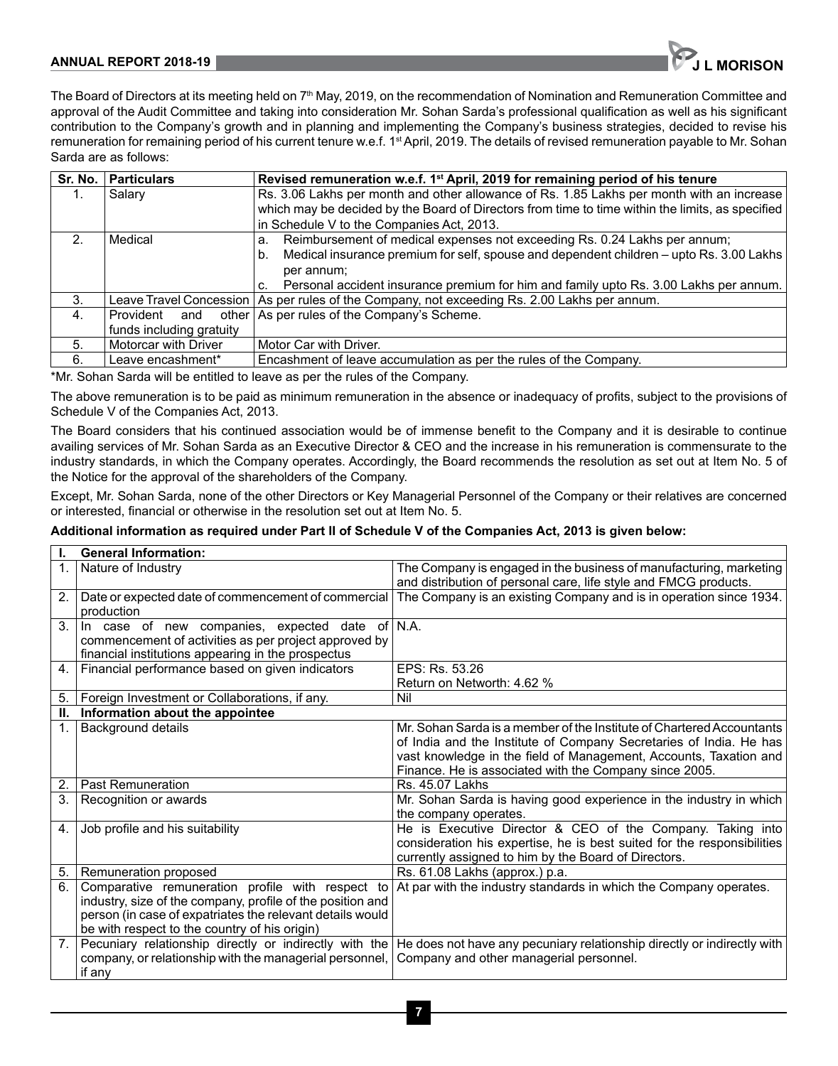#### **ANNUAL REPORT 2018-19 JULIE 2018-19 JULIE 2018 19:30 ANNUAL REPORT 2018-19**



The Board of Directors at its meeting held on 7<sup>th</sup> May, 2019, on the recommendation of Nomination and Remuneration Committee and approval of the Audit Committee and taking into consideration Mr. Sohan Sarda's professional qualification as well as his significant contribution to the Company's growth and in planning and implementing the Company's business strategies, decided to revise his remuneration for remaining period of his current tenure w.e.f. 1<sup>st</sup> April, 2019. The details of revised remuneration payable to Mr. Sohan Sarda are as follows:

|               | Sr. No.   Particulars    | Revised remuneration w.e.f. 1 <sup>st</sup> April, 2019 for remaining period of his tenure       |  |
|---------------|--------------------------|--------------------------------------------------------------------------------------------------|--|
|               | Salary                   | Rs. 3.06 Lakhs per month and other allowance of Rs. 1.85 Lakhs per month with an increase        |  |
|               |                          | which may be decided by the Board of Directors from time to time within the limits, as specified |  |
|               |                          | in Schedule V to the Companies Act, 2013.                                                        |  |
| $\mathcal{P}$ | Medical                  | a. Reimbursement of medical expenses not exceeding Rs. 0.24 Lakhs per annum;                     |  |
|               |                          | b. Medical insurance premium for self, spouse and dependent children - upto Rs. 3.00 Lakhs       |  |
|               |                          | per annum;                                                                                       |  |
|               |                          | c. Personal accident insurance premium for him and family upto Rs. 3.00 Lakhs per annum.         |  |
| 3.            |                          | Leave Travel Concession   As per rules of the Company, not exceeding Rs. 2.00 Lakhs per annum.   |  |
| 4.            | Provident and            | other As per rules of the Company's Scheme.                                                      |  |
|               | funds including gratuity |                                                                                                  |  |
| 5.            | Motorcar with Driver     | Motor Car with Driver.                                                                           |  |
| 6.            | Leave encashment*        | Encashment of leave accumulation as per the rules of the Company.                                |  |

\*Mr. Sohan Sarda will be entitled to leave as per the rules of the Company.

The above remuneration is to be paid as minimum remuneration in the absence or inadequacy of profits, subject to the provisions of Schedule V of the Companies Act, 2013.

The Board considers that his continued association would be of immense benefit to the Company and it is desirable to continue availing services of Mr. Sohan Sarda as an Executive Director & CEO and the increase in his remuneration is commensurate to the industry standards, in which the Company operates. Accordingly, the Board recommends the resolution as set out at Item No. 5 of the Notice for the approval of the shareholders of the Company.

Except, Mr. Sohan Sarda, none of the other Directors or Key Managerial Personnel of the Company or their relatives are concerned or interested, financial or otherwise in the resolution set out at Item No. 5.

# **Additional information as required under Part II of Schedule V of the Companies Act, 2013 is given below:**

| ı.             | <b>General Information:</b>                                                                                 |                                                                                                                                        |  |
|----------------|-------------------------------------------------------------------------------------------------------------|----------------------------------------------------------------------------------------------------------------------------------------|--|
| $\mathbf{1}$ . | Nature of Industry                                                                                          | The Company is engaged in the business of manufacturing, marketing<br>and distribution of personal care, life style and FMCG products. |  |
| 2.             | Date or expected date of commencement of commercial<br>production                                           | The Company is an existing Company and is in operation since 1934.                                                                     |  |
| 3.             | In case of new companies, expected date of                                                                  | N.A.                                                                                                                                   |  |
|                | commencement of activities as per project approved by<br>financial institutions appearing in the prospectus |                                                                                                                                        |  |
| 4 <sub>1</sub> | Financial performance based on given indicators                                                             | EPS: Rs. 53.26                                                                                                                         |  |
|                |                                                                                                             | Return on Networth: 4.62 %                                                                                                             |  |
| 5.             | Foreign Investment or Collaborations, if any.                                                               | Nil                                                                                                                                    |  |
| Ш.             | Information about the appointee                                                                             |                                                                                                                                        |  |
| $\mathbf 1$    | Background details                                                                                          | Mr. Sohan Sarda is a member of the Institute of Chartered Accountants                                                                  |  |
|                |                                                                                                             | of India and the Institute of Company Secretaries of India. He has                                                                     |  |
|                |                                                                                                             | vast knowledge in the field of Management, Accounts, Taxation and                                                                      |  |
|                |                                                                                                             | Finance. He is associated with the Company since 2005.                                                                                 |  |
| 2.             | <b>Past Remuneration</b>                                                                                    | Rs. 45.07 Lakhs                                                                                                                        |  |
| 3.             | Recognition or awards                                                                                       | Mr. Sohan Sarda is having good experience in the industry in which                                                                     |  |
|                |                                                                                                             | the company operates.                                                                                                                  |  |
| 4.             | Job profile and his suitability                                                                             | He is Executive Director & CEO of the Company. Taking into                                                                             |  |
|                |                                                                                                             | consideration his expertise, he is best suited for the responsibilities                                                                |  |
|                |                                                                                                             | currently assigned to him by the Board of Directors.                                                                                   |  |
| 5.             | Remuneration proposed                                                                                       | Rs. 61.08 Lakhs (approx.) p.a.                                                                                                         |  |
| 6.             | Comparative remuneration profile with respect to                                                            | At par with the industry standards in which the Company operates.                                                                      |  |
|                | industry, size of the company, profile of the position and                                                  |                                                                                                                                        |  |
|                | person (in case of expatriates the relevant details would                                                   |                                                                                                                                        |  |
|                | be with respect to the country of his origin)                                                               |                                                                                                                                        |  |
| 7.             | Pecuniary relationship directly or indirectly with the                                                      | He does not have any pecuniary relationship directly or indirectly with                                                                |  |
|                | company, or relationship with the managerial personnel,                                                     | Company and other managerial personnel.                                                                                                |  |
|                | if any                                                                                                      |                                                                                                                                        |  |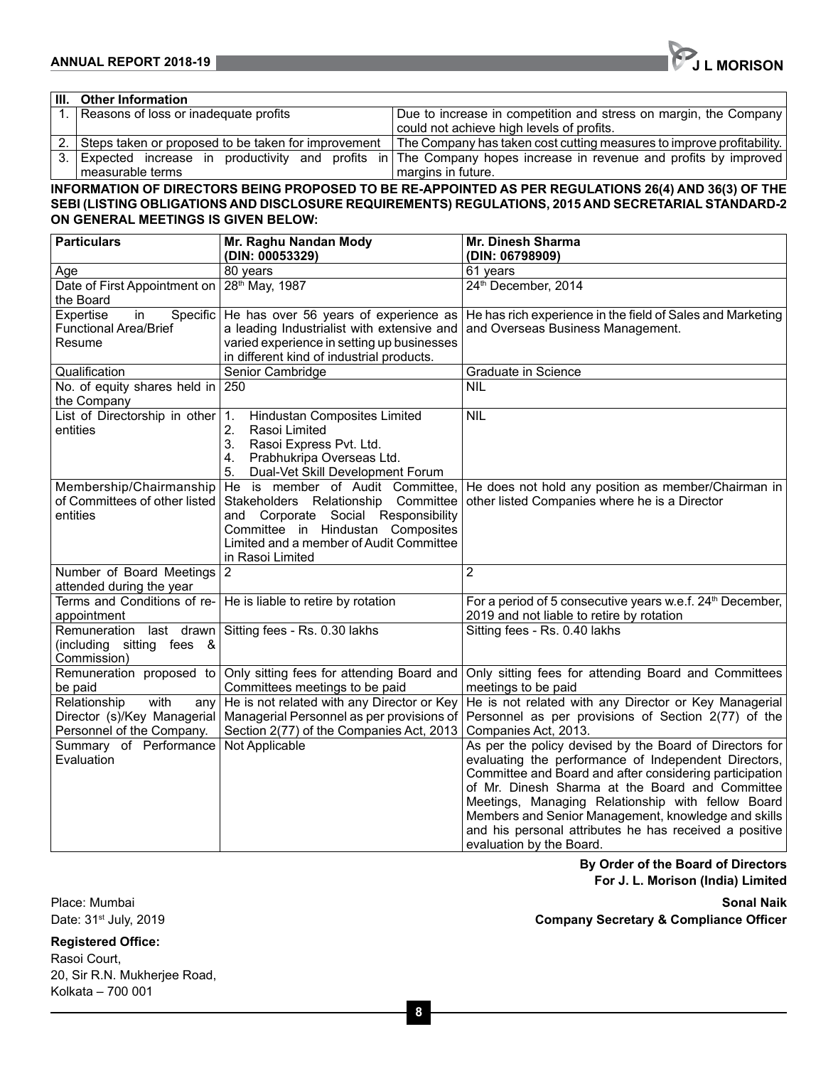| III. Other Information                              |                                                                                                                   |
|-----------------------------------------------------|-------------------------------------------------------------------------------------------------------------------|
| Reasons of loss or inadequate profits               | Due to increase in competition and stress on margin, the Company                                                  |
|                                                     | could not achieve high levels of profits.                                                                         |
| Steps taken or proposed to be taken for improvement | The Company has taken cost cutting measures to improve profitability.                                             |
|                                                     | 3. Expected increase in productivity and profits in The Company hopes increase in revenue and profits by improved |
| measurable terms                                    | margins in future.                                                                                                |

#### **INFORMATION OF DIRECTORS BEING PROPOSED TO BE RE-APPOINTED AS PER REGULATIONS 26(4) AND 36(3) OF THE SEBI (LISTING OBLIGATIONS AND DISCLOSURE REQUIREMENTS) REGULATIONS, 2015 AND SECRETARIAL STANDARD-2 ON GENERAL MEETINGS IS GIVEN BELOW:**

| <b>Particulars</b>                                                                                                                                                                                                                                   | Mr. Raghu Nandan Mody<br>(DIN: 00053329)                                                                                                                                                                                                     | Mr. Dinesh Sharma<br>(DIN: 06798909)                                                                                                                                                                                                                                                                                                                                                                                            |
|------------------------------------------------------------------------------------------------------------------------------------------------------------------------------------------------------------------------------------------------------|----------------------------------------------------------------------------------------------------------------------------------------------------------------------------------------------------------------------------------------------|---------------------------------------------------------------------------------------------------------------------------------------------------------------------------------------------------------------------------------------------------------------------------------------------------------------------------------------------------------------------------------------------------------------------------------|
| Age                                                                                                                                                                                                                                                  | 80 years                                                                                                                                                                                                                                     | 61 years                                                                                                                                                                                                                                                                                                                                                                                                                        |
| Date of First Appointment on<br>28 <sup>th</sup> May, 1987<br>the Board                                                                                                                                                                              |                                                                                                                                                                                                                                              | 24th December, 2014                                                                                                                                                                                                                                                                                                                                                                                                             |
| Expertise<br>Specific He has over 56 years of experience as<br>in<br><b>Functional Area/Brief</b><br>a leading Industrialist with extensive and<br>varied experience in setting up businesses<br>Resume<br>in different kind of industrial products. |                                                                                                                                                                                                                                              | He has rich experience in the field of Sales and Marketing<br>and Overseas Business Management.                                                                                                                                                                                                                                                                                                                                 |
| Qualification                                                                                                                                                                                                                                        | Senior Cambridge                                                                                                                                                                                                                             | Graduate in Science                                                                                                                                                                                                                                                                                                                                                                                                             |
| No. of equity shares held in $ 250$<br>the Company                                                                                                                                                                                                   |                                                                                                                                                                                                                                              | <b>NIL</b>                                                                                                                                                                                                                                                                                                                                                                                                                      |
| List of Directorship in other $ 1$ .<br>entities                                                                                                                                                                                                     | Hindustan Composites Limited<br>2.<br>Rasoi Limited<br>3.<br>Rasoi Express Pvt. Ltd.<br>Prabhukripa Overseas Ltd.<br>4.<br>Dual-Vet Skill Development Forum<br>5.                                                                            | <b>NIL</b>                                                                                                                                                                                                                                                                                                                                                                                                                      |
| of Committees of other listed<br>entities                                                                                                                                                                                                            | Membership/Chairmanship   He is member of Audit Committee,<br>Stakeholders Relationship Committee<br>and Corporate Social Responsibility<br>Committee in Hindustan Composites<br>Limited and a member of Audit Committee<br>in Rasoi Limited | He does not hold any position as member/Chairman in<br>other listed Companies where he is a Director                                                                                                                                                                                                                                                                                                                            |
| Number of Board Meetings<br>attended during the year                                                                                                                                                                                                 | 2                                                                                                                                                                                                                                            | $\overline{2}$                                                                                                                                                                                                                                                                                                                                                                                                                  |
| Terms and Conditions of re-<br>appointment                                                                                                                                                                                                           | He is liable to retire by rotation                                                                                                                                                                                                           | For a period of 5 consecutive years w.e.f. 24 <sup>th</sup> December,<br>2019 and not liable to retire by rotation                                                                                                                                                                                                                                                                                                              |
| Remuneration<br>last drawn<br>(including sitting fees &<br>Commission)                                                                                                                                                                               | Sitting fees - Rs. 0.30 lakhs                                                                                                                                                                                                                | Sitting fees - Rs. 0.40 lakhs                                                                                                                                                                                                                                                                                                                                                                                                   |
| Remuneration proposed to<br>be paid                                                                                                                                                                                                                  | Only sitting fees for attending Board and<br>Committees meetings to be paid                                                                                                                                                                  | Only sitting fees for attending Board and Committees<br>meetings to be paid                                                                                                                                                                                                                                                                                                                                                     |
| Relationship<br>with<br>any<br>Director (s)/Key Managerial<br>Personnel of the Company.                                                                                                                                                              | He is not related with any Director or Key<br>Managerial Personnel as per provisions of<br>Section 2(77) of the Companies Act, 2013                                                                                                          | He is not related with any Director or Key Managerial<br>Personnel as per provisions of Section 2(77) of the<br>Companies Act, 2013.                                                                                                                                                                                                                                                                                            |
| Summary of Performance<br>Evaluation                                                                                                                                                                                                                 | Not Applicable                                                                                                                                                                                                                               | As per the policy devised by the Board of Directors for<br>evaluating the performance of Independent Directors,<br>Committee and Board and after considering participation<br>of Mr. Dinesh Sharma at the Board and Committee<br>Meetings, Managing Relationship with fellow Board<br>Members and Senior Management, knowledge and skills<br>and his personal attributes he has received a positive<br>evaluation by the Board. |

# **By Order of the Board of Directors For J. L. Morison (India) Limited**

Place: Mumbai **Sonal Naik** Date: 31st July, 2019 **Company Secretary & Compliance Officer**

#### **Registered Office:**

Rasoi Court, 20, Sir R.N. Mukherjee Road, Kolkata – 700 001